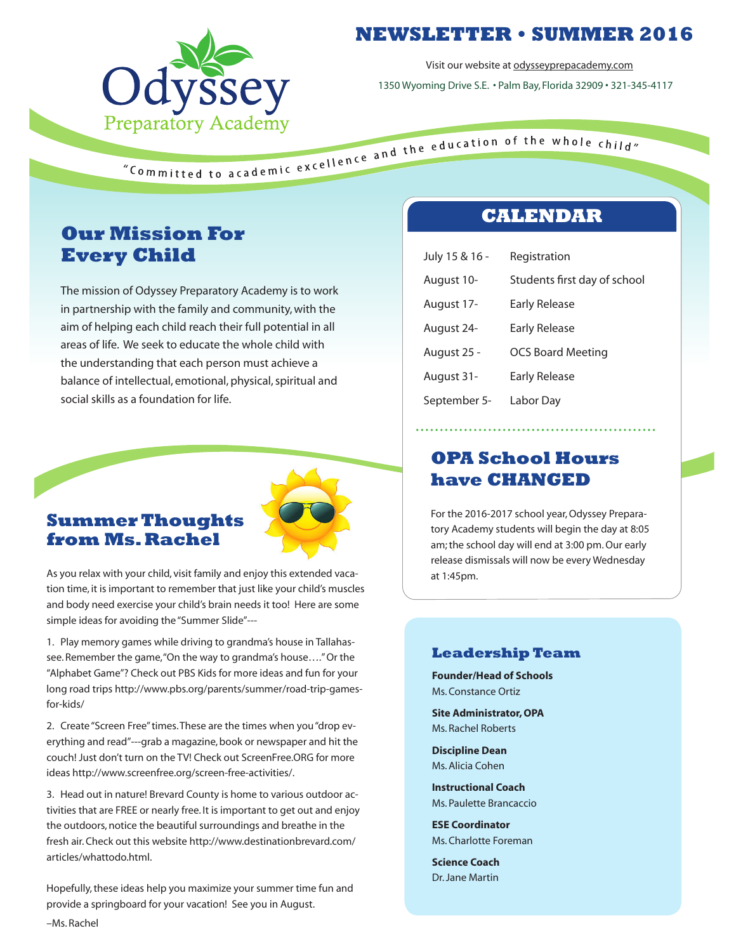

# **NEWSLETTER • SUMMER 2016**

Visit our website at odysseyprepacademy.com 1350 Wyoming Drive S.E. • Palm Bay, Florida 32909 • 321-345-4117

# **Our Mission For Every Child**

The mission of Odyssey Preparatory Academy is to work in partnership with the family and community, with the aim of helping each child reach their full potential in all areas of life. We seek to educate the whole child with the understanding that each person must achieve a balance of intellectual, emotional, physical, spiritual and social skills as a foundation for life.



### **Summer Thoughts from Ms. Rachel**

As you relax with your child, visit family and enjoy this extended vacation time, it is important to remember that just like your child's muscles and body need exercise your child's brain needs it too! Here are some simple ideas for avoiding the "Summer Slide"---

1. Play memory games while driving to grandma's house in Tallahassee. Remember the game, "On the way to grandma's house...." Or the "Alphabet Game"? Check out PBS Kids for more ideas and fun for your long road trips http://www.pbs.org/parents/summer/road-trip-gamesfor-kids/

2. Create "Screen Free" times. These are the times when you "drop everything and read"---grab a magazine, book or newspaper and hit the couch! Just don't turn on the TV! Check out ScreenFree.ORG for more ideas http://www.screenfree.org/screen-free-activities/.

3. Head out in nature! Brevard County is home to various outdoor activities that are FREE or nearly free. It is important to get out and enjoy the outdoors, notice the beautiful surroundings and breathe in the fresh air. Check out this website http://www.destinationbrevard.com/ articles/whattodo.html.

Hopefully, these ideas help you maximize your summer time fun and provide a springboard for your vacation! See you in August. –Ms. Rachel

### **CALENDAR**

| July 15 & 16 - | Registration                 |
|----------------|------------------------------|
| August 10-     | Students first day of school |
| August 17-     | Early Release                |
| August 24-     | Early Release                |
| August 25 -    | <b>OCS Board Meeting</b>     |
| August 31-     | Early Release                |
| September 5-   | Labor Day                    |

### **OPA School Hours have CHANGED**

For the 2016-2017 school year, Odyssey Preparatory Academy students will begin the day at 8:05 am; the school day will end at 3:00 pm. Our early release dismissals will now be every Wednesday at 1:45pm.

### **Leadership Team**

**Founder/Head of Schools** Ms. Constance Ortiz

**Site Administrator, OPA** Ms. Rachel Roberts

**Discipline Dean** Ms. Alicia Cohen

**Instructional Coach** Ms. Paulette Brancaccio

**ESE Coordinator** Ms. Charlotte Foreman

**Science Coach** Dr. Jane Martin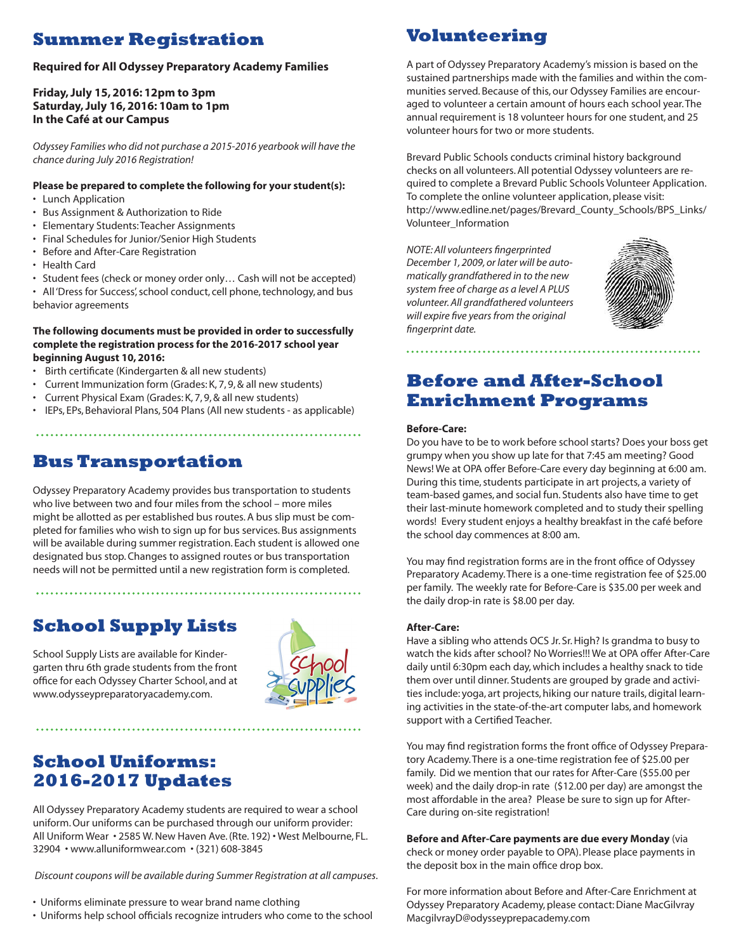# **Summer Registration**

#### **Required for All Odyssey Preparatory Academy Families**

#### **Friday, July 15, 2016: 12pm to 3pm Saturday, July 16, 2016: 10am to 1pm In the Café at our Campus**

*Odyssey Families who did not purchase a 2015-2016 yearbook will have the chance during July 2016 Registration!*

#### **Please be prepared to complete the following for your student(s):**

- Lunch Application
- Bus Assignment & Authorization to Ride
- Elementary Students: Teacher Assignments
- Final Schedules for Junior/Senior High Students
- Before and After-Care Registration
- Health Card
- Student fees (check or money order only… Cash will not be accepted)
- All 'Dress for Success', school conduct, cell phone, technology, and bus behavior agreements

#### **The following documents must be provided in order to successfully complete the registration process for the 2016-2017 school year beginning August 10, 2016:**

- Birth certificate (Kindergarten & all new students)
- Current Immunization form (Grades: K, 7, 9, & all new students)
- Current Physical Exam (Grades: K, 7, 9, & all new students)
- IEPs, EPs, Behavioral Plans, 504 Plans (All new students as applicable)

# **Bus Transportation**

Odyssey Preparatory Academy provides bus transportation to students who live between two and four miles from the school – more miles might be allotted as per established bus routes. A bus slip must be completed for families who wish to sign up for bus services. Bus assignments will be available during summer registration. Each student is allowed one designated bus stop. Changes to assigned routes or bus transportation needs will not be permitted until a new registration form is completed.

# **School Supply Lists**

School Supply Lists are available for Kindergarten thru 6th grade students from the front office for each Odyssey Charter School, and at www.odysseypreparatoryacademy.com.



### **School Uniforms: 2016-2017 Updates**

All Odyssey Preparatory Academy students are required to wear a school uniform. Our uniforms can be purchased through our uniform provider: All Uniform Wear • 2585 W. New Haven Ave. (Rte. 192) • West Melbourne, FL. 32904 • www.alluniformwear.com • (321) 608-3845

 *Discount coupons will be available during Summer Registration at all campuses*.

- Uniforms eliminate pressure to wear brand name clothing
- Uniforms help school officials recognize intruders who come to the school

### **Volunteering**

A part of Odyssey Preparatory Academy's mission is based on the sustained partnerships made with the families and within the communities served. Because of this, our Odyssey Families are encouraged to volunteer a certain amount of hours each school year. The annual requirement is 18 volunteer hours for one student, and 25 volunteer hours for two or more students.

Brevard Public Schools conducts criminal history background checks on all volunteers. All potential Odyssey volunteers are required to complete a Brevard Public Schools Volunteer Application. To complete the online volunteer application, please visit: http://www.edline.net/pages/Brevard\_County\_Schools/BPS\_Links/ Volunteer\_Information

*NOTE: All volunteers fingerprinted December 1, 2009, or later will be automatically grandfathered in to the new system free of charge as a level A PLUS volunteer. All grandfathered volunteers will expire five years from the original fingerprint date.*



### **Before and After-School Enrichment Programs**

#### **Before-Care:**

Do you have to be to work before school starts? Does your boss get grumpy when you show up late for that 7:45 am meeting? Good News! We at OPA offer Before-Care every day beginning at 6:00 am. During this time, students participate in art projects, a variety of team-based games, and social fun. Students also have time to get their last-minute homework completed and to study their spelling words! Every student enjoys a healthy breakfast in the café before the school day commences at 8:00 am.

You may find registration forms are in the front office of Odyssey Preparatory Academy.There is a one-time registration fee of \$25.00 per family. The weekly rate for Before-Care is \$35.00 per week and the daily drop-in rate is \$8.00 per day.

#### **After-Care:**

Have a sibling who attends OCS Jr. Sr. High? Is grandma to busy to watch the kids after school? No Worries!!! We at OPA offer After-Care daily until 6:30pm each day, which includes a healthy snack to tide them over until dinner. Students are grouped by grade and activities include: yoga, art projects, hiking our nature trails, digital learning activities in the state-of-the-art computer labs, and homework support with a Certified Teacher.

You may find registration forms the front office of Odyssey Preparatory Academy.There is a one-time registration fee of \$25.00 per family. Did we mention that our rates for After-Care (\$55.00 per week) and the daily drop-in rate (\$12.00 per day) are amongst the most affordable in the area? Please be sure to sign up for After-Care during on-site registration!

#### **Before and After-Care payments are due every Monday** (via check or money order payable to OPA). Please place payments in

the deposit box in the main office drop box.

For more information about Before and After-Care Enrichment at Odyssey Preparatory Academy, please contact: Diane MacGilvray MacgilvrayD@odysseyprepacademy.com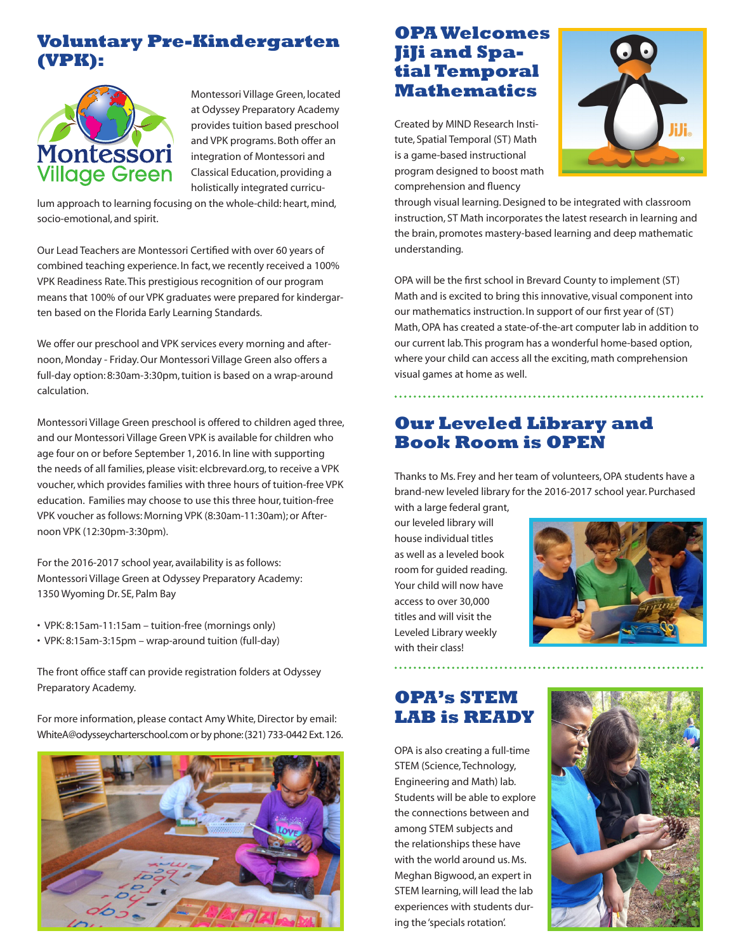### **Voluntary Pre-Kindergarten (VPK):**



Montessori Village Green, located at Odyssey Preparatory Academy provides tuition based preschool and VPK programs. Both offer an integration of Montessori and Classical Education, providing a holistically integrated curricu-

lum approach to learning focusing on the whole-child: heart, mind, socio-emotional, and spirit.

Our Lead Teachers are Montessori Certified with over 60 years of combined teaching experience. In fact, we recently received a 100% VPK Readiness Rate. This prestigious recognition of our program means that 100% of our VPK graduates were prepared for kindergarten based on the Florida Early Learning Standards.

We offer our preschool and VPK services every morning and afternoon, Monday - Friday. Our Montessori Village Green also offers a full-day option: 8:30am-3:30pm, tuition is based on a wrap-around calculation.

Montessori Village Green preschool is offered to children aged three, and our Montessori Village Green VPK is available for children who age four on or before September 1, 2016. In line with supporting the needs of all families, please visit: elcbrevard.org, to receive a VPK voucher, which provides families with three hours of tuition-free VPK education. Families may choose to use this three hour, tuition-free VPK voucher as follows: Morning VPK (8:30am-11:30am); or Afternoon VPK (12:30pm-3:30pm).

For the 2016-2017 school year, availability is as follows: Montessori Village Green at Odyssey Preparatory Academy: 1350 Wyoming Dr. SE, Palm Bay

- VPK: 8:15am-11:15am tuition-free (mornings only)
- VPK: 8:15am-3:15pm wrap-around tuition (full-day)

The front office staff can provide registration folders at Odyssey Preparatory Academy.

For more information, please contact Amy White, Director by email: WhiteA@odysseycharterschool.com or by phone: (321) 733-0442 Ext. 126.



### **OPA Welcomes JiJi and Spatial Temporal Mathematics**

Created by MIND Research Institute, Spatial Temporal (ST) Math is a game-based instructional program designed to boost math comprehension and fluency



through visual learning. Designed to be integrated with classroom instruction, ST Math incorporates the latest research in learning and the brain, promotes mastery-based learning and deep mathematic understanding.

OPA will be the first school in Brevard County to implement (ST) Math and is excited to bring this innovative, visual component into our mathematics instruction. In support of our first year of (ST) Math, OPA has created a state-of-the-art computer lab in addition to our current lab. This program has a wonderful home-based option, where your child can access all the exciting, math comprehension visual games at home as well.

### **Our Leveled Library and Book Room is OPEN**

Thanks to Ms. Frey and her team of volunteers, OPA students have a brand-new leveled library for the 2016-2017 school year. Purchased

with a large federal grant, our leveled library will house individual titles as well as a leveled book room for guided reading. Your child will now have access to over 30,000 titles and will visit the Leveled Library weekly with their class!



### **OPA's STEM LAB is READY**

OPA is also creating a full-time STEM (Science, Technology, Engineering and Math) lab. Students will be able to explore the connections between and among STEM subjects and the relationships these have with the world around us. Ms. Meghan Bigwood, an expert in STEM learning, will lead the lab experiences with students during the 'specials rotation'.